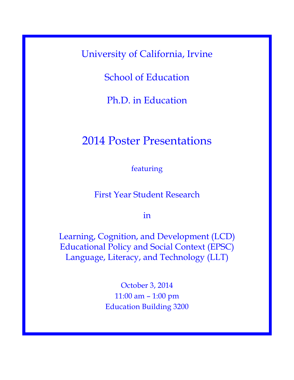University of California, Irvine

School of Education

Ph.D. in Education

## 2014 Poster Presentations

featuring

First Year Student Research

in

Learning, Cognition, and Development (LCD) Educational Policy and Social Context (EPSC) Language, Literacy, and Technology (LLT)

> October 3, 2014 11:00 am – 1:00 pm Education Building 3200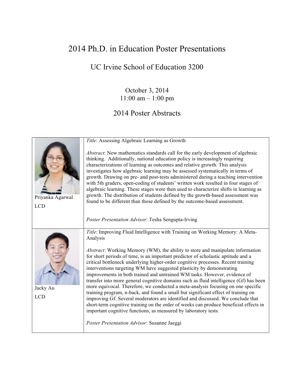## 2014 Ph.D. in Education Poster Presentations

UC Irvine School of Education 3200

October 3, 2014 11:00 am – 1:00 pm

## 2014 Poster Abstracts

|                                | Title: Assessing Algebraic Learning as Growth                                                                                                                                                                                                                                                                                                                                                                                                                                                                                                                                                                                                                                                                                                                                                                                                                                                                                          |
|--------------------------------|----------------------------------------------------------------------------------------------------------------------------------------------------------------------------------------------------------------------------------------------------------------------------------------------------------------------------------------------------------------------------------------------------------------------------------------------------------------------------------------------------------------------------------------------------------------------------------------------------------------------------------------------------------------------------------------------------------------------------------------------------------------------------------------------------------------------------------------------------------------------------------------------------------------------------------------|
| Priyanka Agarwal<br><b>LCD</b> | Abstract: New mathematics standards call for the early development of algebraic<br>thinking. Additionally, national education policy is increasingly requiring<br>characterizations of learning as outcomes and relative growth. This analysis<br>investigates how algebraic learning may be assessed systematically in terms of<br>growth. Drawing on pre- and post-tests administered during a teaching intervention<br>with 5th graders, open-coding of students' written work resulted in four stages of<br>algebraic learning. These stages were then used to characterize shifts in learning as<br>growth. The distribution of students defined by the growth-based assessment was<br>found to be different than those defined by the outcome-based assessment.<br>Poster Presentation Advisor: Tesha Sengupta-Irving                                                                                                            |
|                                | Title: Improving Fluid Intelligence with Training on Working Memory: A Meta-<br>Analysis                                                                                                                                                                                                                                                                                                                                                                                                                                                                                                                                                                                                                                                                                                                                                                                                                                               |
| Jacky Au<br><b>LCD</b>         | <i>Abstract</i> : Working Memory (WM), the ability to store and manipulate information<br>for short periods of time, is an important predictor of scholastic aptitude and a<br>critical bottleneck underlying higher-order cognitive processes. Recent training<br>interventions targeting WM have suggested plasticity by demonstrating<br>improvements in both trained and untrained WM tasks. However, evidence of<br>transfer into more general cognitive domains such as fluid intelligence (Gf) has been<br>more equivocal. Therefore, we conducted a meta-analysis focusing on one specific<br>training program, n-back, and found a small but significant effect of training on<br>improving Gf. Several moderators are identified and discussed. We conclude that<br>short-term cognitive training on the order of weeks can produce beneficial effects in<br>important cognitive functions, as measured by laboratory tests. |
|                                | Poster Presentation Advisor: Susanne Jaeggi                                                                                                                                                                                                                                                                                                                                                                                                                                                                                                                                                                                                                                                                                                                                                                                                                                                                                            |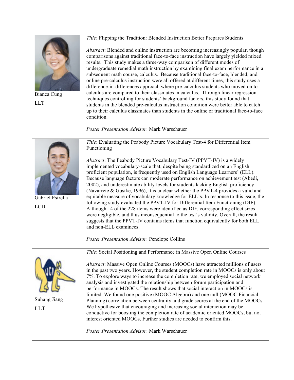|                                | Title: Flipping the Tradition: Blended Instruction Better Prepares Students                                                                                                                                                                                                                                                                                                                                                                                                                                                                                                                                                                                                                                                                                                                                                                                                                                                                                                                                                    |
|--------------------------------|--------------------------------------------------------------------------------------------------------------------------------------------------------------------------------------------------------------------------------------------------------------------------------------------------------------------------------------------------------------------------------------------------------------------------------------------------------------------------------------------------------------------------------------------------------------------------------------------------------------------------------------------------------------------------------------------------------------------------------------------------------------------------------------------------------------------------------------------------------------------------------------------------------------------------------------------------------------------------------------------------------------------------------|
| Bianca Cung<br><b>LLT</b>      | Abstract: Blended and online instruction are becoming increasingly popular, though<br>comparisons against traditional face-to-face instruction have largely yielded mixed<br>results. This study makes a three-way comparison of different modes of<br>undergraduate remedial math instruction by examining final exam performance in a<br>subsequent math course, calculus. Because traditional face-to-face, blended, and<br>online pre-calculus instruction were all offered at different times, this study uses a<br>difference-in-differences approach where pre-calculus students who moved on to<br>calculus are compared to their classmates in calculus. Through linear regression<br>techniques controlling for students' background factors, this study found that<br>students in the blended pre-calculus instruction condition were better able to catch<br>up to their calculus classmates than students in the online or traditional face-to-face<br>condition.<br>Poster Presentation Advisor: Mark Warschauer |
|                                |                                                                                                                                                                                                                                                                                                                                                                                                                                                                                                                                                                                                                                                                                                                                                                                                                                                                                                                                                                                                                                |
|                                | Title: Evaluating the Peabody Picture Vocabulary Test-4 for Differential Item<br>Functioning                                                                                                                                                                                                                                                                                                                                                                                                                                                                                                                                                                                                                                                                                                                                                                                                                                                                                                                                   |
| Gabriel Estrella<br><b>LCD</b> | <i>Abstract</i> : The Peabody Picture Vocabulary Test-IV (PPVT-IV) is a widely<br>implemented vocabulary-scale that, despite being standardized on an English<br>proficient population, is frequently used on English Language Learners' (ELL).<br>Because language factors can moderate performance on achievement test (Abedi,<br>2002), and underestimate ability levels for students lacking English proficiency<br>(Navarrete & Gustke, 1996), it is unclear whether the PPVT-4 provides a valid and<br>equitable measure of vocabulary knowledge for ELL's. In response to this issue, the<br>following study evaluated the PPVT-IV for Differential Item Functioning (DIF).<br>Although 14 of the 228 items were identified as DIF, corresponding effect sizes<br>were negligible, and thus inconsequential to the test's validity. Overall, the result<br>suggests that the PPVT-IV contains items that function equivalently for both ELL<br>and non-ELL examinees.                                                   |
|                                | Poster Presentation Advisor: Penelope Collins                                                                                                                                                                                                                                                                                                                                                                                                                                                                                                                                                                                                                                                                                                                                                                                                                                                                                                                                                                                  |
|                                | Title: Social Positioning and Performance in Massive Open Online Courses                                                                                                                                                                                                                                                                                                                                                                                                                                                                                                                                                                                                                                                                                                                                                                                                                                                                                                                                                       |
| Suhang Jiang<br><b>LLT</b>     | Abstract: Massive Open Online Courses (MOOCs) have attracted millions of users<br>in the past two years. However, the student completion rate in MOOCs is only about<br>7%. To explore ways to increase the completion rate, we employed social network<br>analysis and investigated the relationship between forum participation and<br>performance in MOOCs. The result shows that social interaction in MOOCs is<br>limited. We found one positive (MOOC Algebra) and one null (MOOC Financial<br>Planning) correlation between centrality and grade scores at the end of the MOOCs.<br>We hypothesize that encouraging and increasing social interaction may be<br>conductive for boosting the completion rate of academic oriented MOOCs, but not<br>interest oriented MOOCs. Further studies are needed to confirm this.                                                                                                                                                                                                 |
|                                | Poster Presentation Advisor: Mark Warschauer                                                                                                                                                                                                                                                                                                                                                                                                                                                                                                                                                                                                                                                                                                                                                                                                                                                                                                                                                                                   |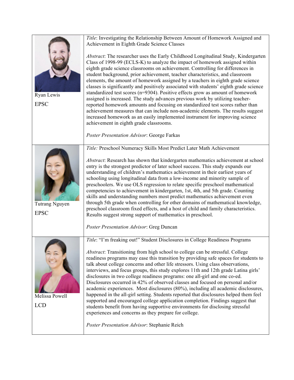|                               | Title: Investigating the Relationship Between Amount of Homework Assigned and<br>Achievement in Eighth Grade Science Classes                                                                                                                                                                                                                                                                                                                                                                                                                                                                                                                                                                                                                                                                                                                                                                                                                                                          |
|-------------------------------|---------------------------------------------------------------------------------------------------------------------------------------------------------------------------------------------------------------------------------------------------------------------------------------------------------------------------------------------------------------------------------------------------------------------------------------------------------------------------------------------------------------------------------------------------------------------------------------------------------------------------------------------------------------------------------------------------------------------------------------------------------------------------------------------------------------------------------------------------------------------------------------------------------------------------------------------------------------------------------------|
| Ryan Lewis<br><b>EPSC</b>     | Abstract: The researcher uses the Early Childhood Longitudinal Study, Kindergarten<br>Class of 1998-99 (ECLS-K) to analyze the impact of homework assigned within<br>eighth grade science classrooms on achievement. Controlling for differences in<br>student background, prior achievement, teacher characteristics, and classroom<br>elements, the amount of homework assigned by a teachers in eighth grade science<br>classes is significantly and positively associated with students' eighth grade science<br>standardized test scores (n=9304). Positive effects grow as amount of homework<br>assigned is increased. The study advances previous work by utilizing teacher-<br>reported homework amounts and focusing on standardized test scores rather than<br>achievement measures that can include non-academic elements. The results suggest<br>increased homework as an easily implemented instrument for improving science<br>achievement in eighth grade classrooms. |
|                               | Poster Presentation Advisor: George Farkas                                                                                                                                                                                                                                                                                                                                                                                                                                                                                                                                                                                                                                                                                                                                                                                                                                                                                                                                            |
|                               | Title: Preschool Numeracy Skills Most Predict Later Math Achievement                                                                                                                                                                                                                                                                                                                                                                                                                                                                                                                                                                                                                                                                                                                                                                                                                                                                                                                  |
| Tutrang Nguyen<br><b>EPSC</b> | Abstract: Research has shown that kindergarten mathematics achievement at school<br>entry is the strongest predictor of later school success. This study expands our<br>understanding of children's mathematics achievement in their earliest years of<br>schooling using longitudinal data from a low-income and minority sample of<br>preschoolers. We use OLS regression to relate specific preschool mathematical<br>competencies to achievement in kindergarten, 1st, 4th, and 5th grade. Counting<br>skills and understanding numbers most predict mathematics achievement even<br>through 5th grade when controlling for other domains of mathematical knowledge,<br>preschool classroom fixed effects, and a host of child and family characteristics.<br>Results suggest strong support of mathematics in preschool.                                                                                                                                                         |
|                               | Poster Presentation Advisor: Greg Duncan                                                                                                                                                                                                                                                                                                                                                                                                                                                                                                                                                                                                                                                                                                                                                                                                                                                                                                                                              |
|                               | Title: "I'm freaking out!" Student Disclosures in College Readiness Programs                                                                                                                                                                                                                                                                                                                                                                                                                                                                                                                                                                                                                                                                                                                                                                                                                                                                                                          |
| Melissa Powell<br><b>LCD</b>  | Abstract: Transitioning from high school to college can be stressful. College<br>readiness programs may ease this transition by providing safe spaces for students to<br>talk about college concerns and other life stressors. Using class observations,<br>interviews, and focus groups, this study explores 11th and 12th grade Latina girls'<br>disclosures in two college readiness programs: one all-girl and one co-ed.<br>Disclosures occurred in 42% of observed classes and focused on personal and/or<br>academic experiences. Most disclosures (80%), including all academic disclosures,<br>happened in the all-girl setting. Students reported that disclosures helped them feel<br>supported and encouraged college application completion. Findings suggest that<br>students benefit from having supportive environments for disclosing stressful<br>experiences and concerns as they prepare for college.                                                             |
|                               | Poster Presentation Advisor: Stephanie Reich                                                                                                                                                                                                                                                                                                                                                                                                                                                                                                                                                                                                                                                                                                                                                                                                                                                                                                                                          |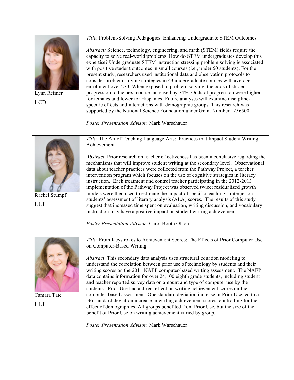|                           | Title: Problem-Solving Pedagogies: Enhancing Undergraduate STEM Outcomes                                                                                                                                                                                                                                                                                                                                                                                                                                                                                                                                                                                                                                                                                                                                                                                                                                                                                                     |
|---------------------------|------------------------------------------------------------------------------------------------------------------------------------------------------------------------------------------------------------------------------------------------------------------------------------------------------------------------------------------------------------------------------------------------------------------------------------------------------------------------------------------------------------------------------------------------------------------------------------------------------------------------------------------------------------------------------------------------------------------------------------------------------------------------------------------------------------------------------------------------------------------------------------------------------------------------------------------------------------------------------|
| Lynn Reimer<br><b>LCD</b> | Abstract: Science, technology, engineering, and math (STEM) fields require the<br>capacity to solve real-world problems. How do STEM undergraduates develop this<br>expertise? Undergraduate STEM instruction stressing problem solving is associated<br>with positive student outcomes in small courses (i.e., under 50 students). For the<br>present study, researchers used institutional data and observation protocols to<br>consider problem solving strategies in 43 undergraduate courses with average<br>enrollment over 270. When exposed to problem solving, the odds of student<br>progression to the next course increased by 74%. Odds of progression were higher<br>for females and lower for Hispanics. Future analyses will examine discipline-<br>specific effects and interactions with demographic groups. This research was<br>supported by the National Science Foundation under Grant Number 1256500.<br>Poster Presentation Advisor: Mark Warschauer |
|                           |                                                                                                                                                                                                                                                                                                                                                                                                                                                                                                                                                                                                                                                                                                                                                                                                                                                                                                                                                                              |
| Rachel Stumpf             | Title: The Art of Teaching Language Arts: Practices that Impact Student Writing<br>Achievement<br>Abstract: Prior research on teacher effectiveness has been inconclusive regarding the<br>mechanisms that will improve student writing at the secondary level. Observational<br>data about teacher practices were collected from the Pathway Project, a teacher                                                                                                                                                                                                                                                                                                                                                                                                                                                                                                                                                                                                             |
|                           | intervention program which focuses on the use of cognitive strategies in literacy<br>instruction. Each treatment and control teacher participating in the 2012-2013<br>implementation of the Pathway Project was observed twice; residualized growth<br>models were then used to estimate the impact of specific teaching strategies on<br>students' assessment of literary analysis (ALA) scores. The results of this study                                                                                                                                                                                                                                                                                                                                                                                                                                                                                                                                                 |
| <b>LLT</b>                | suggest that increased time spent on evaluation, writing discussion, and vocabulary<br>instruction may have a positive impact on student writing achievement.                                                                                                                                                                                                                                                                                                                                                                                                                                                                                                                                                                                                                                                                                                                                                                                                                |
|                           | Poster Presentation Advisor: Carol Booth Olson                                                                                                                                                                                                                                                                                                                                                                                                                                                                                                                                                                                                                                                                                                                                                                                                                                                                                                                               |
| Tamara Tate<br><b>LLT</b> | Title: From Keystrokes to Achievement Scores: The Effects of Prior Computer Use<br>on Computer-Based Writing                                                                                                                                                                                                                                                                                                                                                                                                                                                                                                                                                                                                                                                                                                                                                                                                                                                                 |
|                           | Abstract: This secondary data analysis uses structural equation modeling to<br>understand the correlation between prior use of technology by students and their<br>writing scores on the 2011 NAEP computer-based writing assessment. The NAEP<br>data contains information for over 24,100 eighth grade students, including student<br>and teacher reported survey data on amount and type of computer use by the<br>students. Prior Use had a direct effect on writing achievement scores on the<br>computer-based assessment. One standard deviation increase in Prior Use led to a<br>.36 standard deviation increase in writing achievement scores, controlling for the<br>effect of demographics. All groups benefited from Prior Use, but the size of the<br>benefit of Prior Use on writing achievement varied by group.                                                                                                                                             |
|                           | Poster Presentation Advisor: Mark Warschauer                                                                                                                                                                                                                                                                                                                                                                                                                                                                                                                                                                                                                                                                                                                                                                                                                                                                                                                                 |